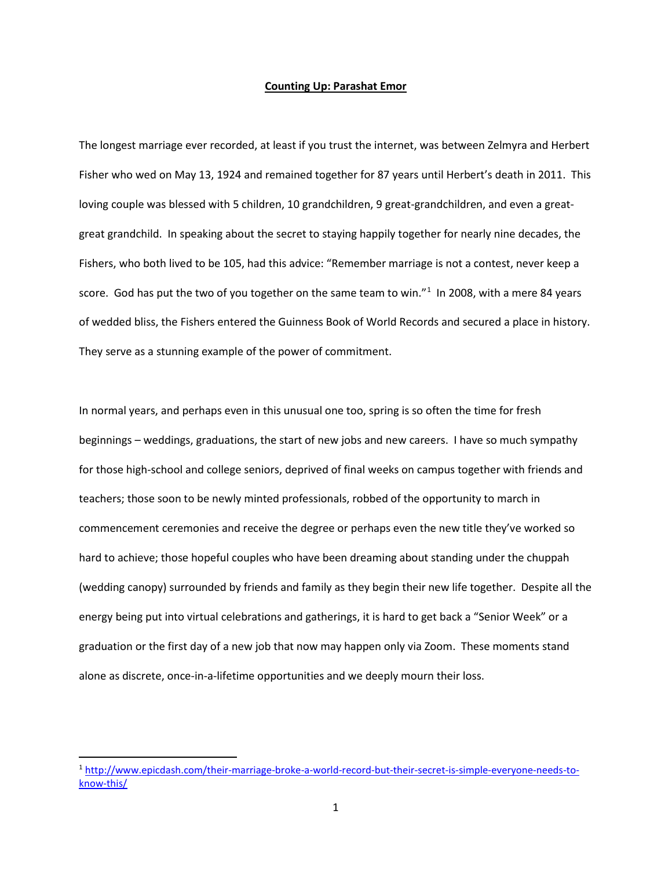## **Counting Up: Parashat Emor**

The longest marriage ever recorded, at least if you trust the internet, was between Zelmyra and Herbert Fisher who wed on May 13, 1924 and remained together for 87 years until Herbert's death in 2011. This loving couple was blessed with 5 children, 10 grandchildren, 9 great-grandchildren, and even a greatgreat grandchild. In speaking about the secret to staying happily together for nearly nine decades, the Fishers, who both lived to be 105, had this advice: "Remember marriage is not a contest, never keep a score. God has put the two of you together on the same team to win."<sup>[1](#page-0-0)</sup> In 2008, with a mere 84 years of wedded bliss, the Fishers entered the Guinness Book of World Records and secured a place in history. They serve as a stunning example of the power of commitment.

In normal years, and perhaps even in this unusual one too, spring is so often the time for fresh beginnings – weddings, graduations, the start of new jobs and new careers. I have so much sympathy for those high-school and college seniors, deprived of final weeks on campus together with friends and teachers; those soon to be newly minted professionals, robbed of the opportunity to march in commencement ceremonies and receive the degree or perhaps even the new title they've worked so hard to achieve; those hopeful couples who have been dreaming about standing under the chuppah (wedding canopy) surrounded by friends and family as they begin their new life together. Despite all the energy being put into virtual celebrations and gatherings, it is hard to get back a "Senior Week" or a graduation or the first day of a new job that now may happen only via Zoom. These moments stand alone as discrete, once-in-a-lifetime opportunities and we deeply mourn their loss.

<span id="page-0-0"></span> <sup>1</sup> [http://www.epicdash.com/their-marriage-broke-a-world-record-but-their-secret-is-simple-everyone-needs-to](http://www.epicdash.com/their-marriage-broke-a-world-record-but-their-secret-is-simple-everyone-needs-to-know-this/)[know-this/](http://www.epicdash.com/their-marriage-broke-a-world-record-but-their-secret-is-simple-everyone-needs-to-know-this/)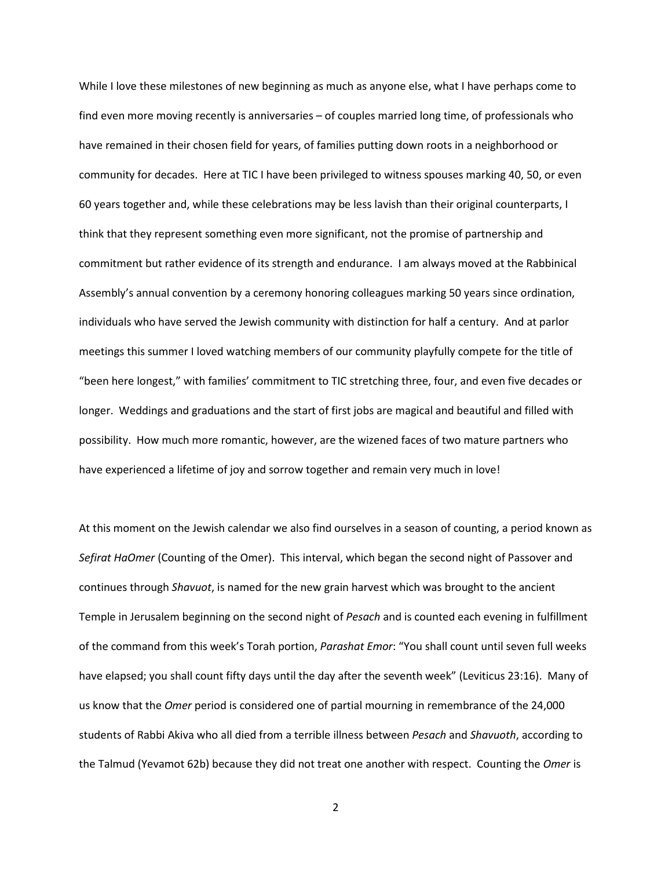While I love these milestones of new beginning as much as anyone else, what I have perhaps come to find even more moving recently is anniversaries – of couples married long time, of professionals who have remained in their chosen field for years, of families putting down roots in a neighborhood or community for decades. Here at TIC I have been privileged to witness spouses marking 40, 50, or even 60 years together and, while these celebrations may be less lavish than their original counterparts, I think that they represent something even more significant, not the promise of partnership and commitment but rather evidence of its strength and endurance. I am always moved at the Rabbinical Assembly's annual convention by a ceremony honoring colleagues marking 50 years since ordination, individuals who have served the Jewish community with distinction for half a century. And at parlor meetings this summer I loved watching members of our community playfully compete for the title of "been here longest," with families' commitment to TIC stretching three, four, and even five decades or longer. Weddings and graduations and the start of first jobs are magical and beautiful and filled with possibility. How much more romantic, however, are the wizened faces of two mature partners who have experienced a lifetime of joy and sorrow together and remain very much in love!

At this moment on the Jewish calendar we also find ourselves in a season of counting, a period known as *Sefirat HaOmer* (Counting of the Omer). This interval, which began the second night of Passover and continues through *Shavuot*, is named for the new grain harvest which was brought to the ancient Temple in Jerusalem beginning on the second night of *Pesach* and is counted each evening in fulfillment of the command from this week's Torah portion, *Parashat Emor*: "You shall count until seven full weeks have elapsed; you shall count fifty days until the day after the seventh week" (Leviticus 23:16). Many of us know that the *Omer* period is considered one of partial mourning in remembrance of the 24,000 students of Rabbi Akiva who all died from a terrible illness between *Pesach* and *Shavuoth*, according to the Talmud (Yevamot 62b) because they did not treat one another with respect. Counting the *Omer* is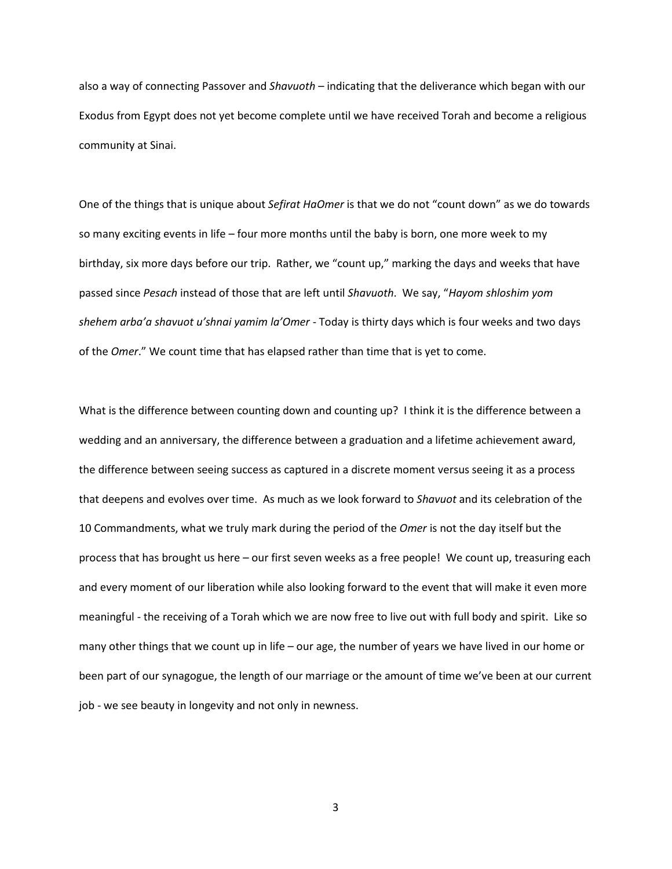also a way of connecting Passover and *Shavuoth* – indicating that the deliverance which began with our Exodus from Egypt does not yet become complete until we have received Torah and become a religious community at Sinai.

One of the things that is unique about *Sefirat HaOmer* is that we do not "count down" as we do towards so many exciting events in life – four more months until the baby is born, one more week to my birthday, six more days before our trip. Rather, we "count up," marking the days and weeks that have passed since *Pesach* instead of those that are left until *Shavuoth*. We say, "*Hayom shloshim yom shehem arba'a shavuot u'shnai yamim la'Omer* - Today is thirty days which is four weeks and two days of the *Omer*." We count time that has elapsed rather than time that is yet to come.

What is the difference between counting down and counting up? I think it is the difference between a wedding and an anniversary, the difference between a graduation and a lifetime achievement award, the difference between seeing success as captured in a discrete moment versus seeing it as a process that deepens and evolves over time. As much as we look forward to *Shavuot* and its celebration of the 10 Commandments, what we truly mark during the period of the *Omer* is not the day itself but the process that has brought us here – our first seven weeks as a free people! We count up, treasuring each and every moment of our liberation while also looking forward to the event that will make it even more meaningful - the receiving of a Torah which we are now free to live out with full body and spirit. Like so many other things that we count up in life – our age, the number of years we have lived in our home or been part of our synagogue, the length of our marriage or the amount of time we've been at our current job - we see beauty in longevity and not only in newness.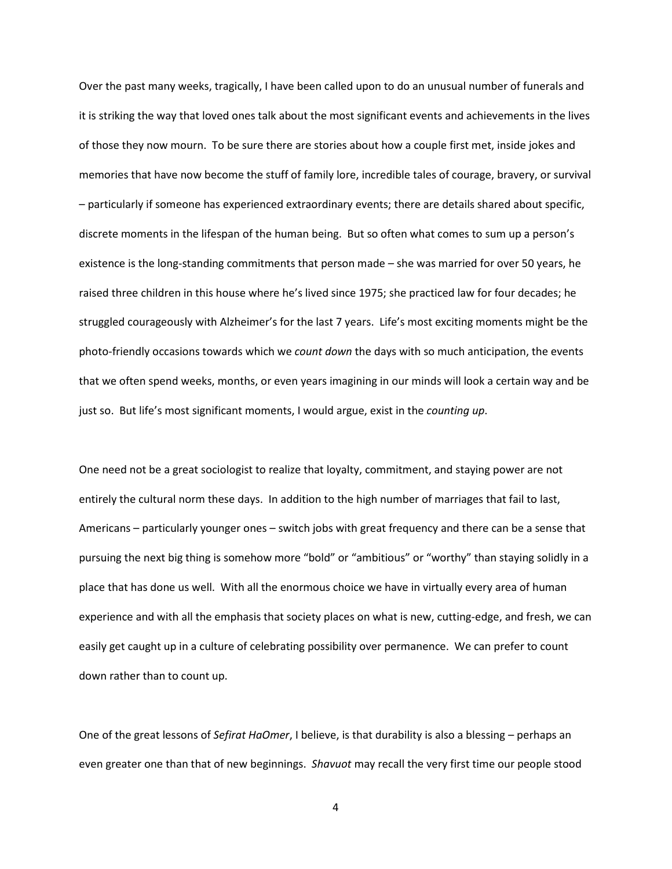Over the past many weeks, tragically, I have been called upon to do an unusual number of funerals and it is striking the way that loved ones talk about the most significant events and achievements in the lives of those they now mourn. To be sure there are stories about how a couple first met, inside jokes and memories that have now become the stuff of family lore, incredible tales of courage, bravery, or survival – particularly if someone has experienced extraordinary events; there are details shared about specific, discrete moments in the lifespan of the human being. But so often what comes to sum up a person's existence is the long-standing commitments that person made – she was married for over 50 years, he raised three children in this house where he's lived since 1975; she practiced law for four decades; he struggled courageously with Alzheimer's for the last 7 years. Life's most exciting moments might be the photo-friendly occasions towards which we *count down* the days with so much anticipation, the events that we often spend weeks, months, or even years imagining in our minds will look a certain way and be just so. But life's most significant moments, I would argue, exist in the *counting up*.

One need not be a great sociologist to realize that loyalty, commitment, and staying power are not entirely the cultural norm these days. In addition to the high number of marriages that fail to last, Americans – particularly younger ones – switch jobs with great frequency and there can be a sense that pursuing the next big thing is somehow more "bold" or "ambitious" or "worthy" than staying solidly in a place that has done us well. With all the enormous choice we have in virtually every area of human experience and with all the emphasis that society places on what is new, cutting-edge, and fresh, we can easily get caught up in a culture of celebrating possibility over permanence. We can prefer to count down rather than to count up.

One of the great lessons of *Sefirat HaOmer*, I believe, is that durability is also a blessing – perhaps an even greater one than that of new beginnings. *Shavuot* may recall the very first time our people stood